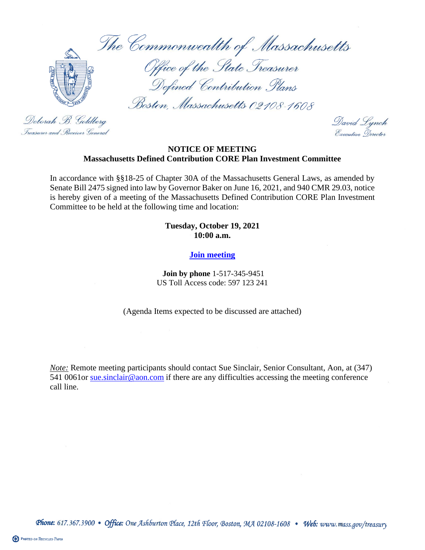The Commonwealth of Massachusetts



Office of the State Treasurer Defined Contribution Plans

Boston, Massachusetts 02108-1608

Deborah B. Goldberg Treasurer and . Receiver General

David Lynch Executive Nerector

#### **NOTICE OF MEETING Massachusetts Defined Contribution CORE Plan Investment Committee**

In accordance with §§18-25 of Chapter 30A of the Massachusetts General Laws, as amended by Senate Bill 2475 signed into law by Governor Baker on June 16, 2021, and 940 CMR 29.03, notice is hereby given of a meeting of the Massachusetts Defined Contribution CORE Plan Investment Committee to be held at the following time and location:

#### **Tuesday, October 19, 2021 10:00 a.m.**

### **[Join meeting](https://aon.webex.com/join/chris.behrns)**

**Join by phone** 1-517-345-9451 US Toll Access code: 597 123 241

(Agenda Items expected to be discussed are attached)

*Note:* Remote meeting participants should contact Sue Sinclair, Senior Consultant, Aon, at (347) 541 0061or sue sinclair@aon.com if there are any difficulties accessing the meeting conference call line.